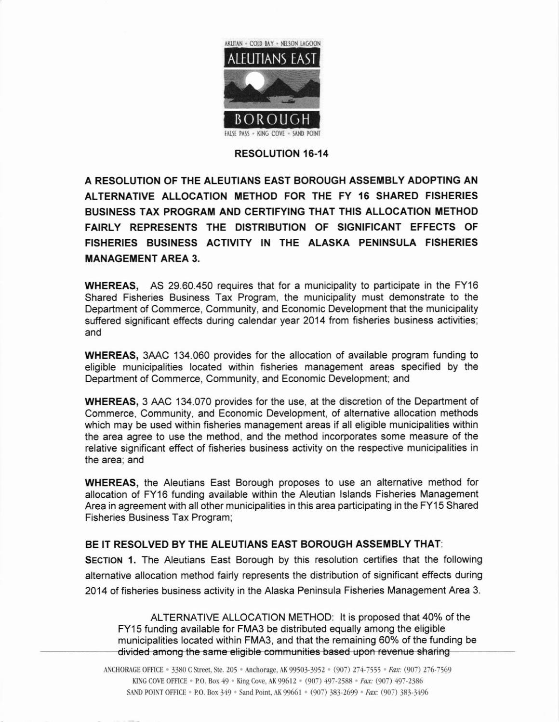

## RESOLUTION I6.14

A RESOLUTION OF THE ALEUTIANS EAST BOROUGH ASSEMBLY AOOPTING AN ALTERNATIVE ALLOCATION METHOD FOR THE FY 16 SHARED FISHERIES BUSINESS TAX PROGRAM AND CERTIFYING THAT THIS ALLOCATION METHOD FAIRLY REPRESENTS THE DISTRIBUTION OF SIGNIFICANT EFFECTS OF FISHERIES BUSINESS ACTIVITY IN THE ALASKA PENINSULA FISHERIES **MANAGEMENT AREA 3.** 

WHEREAS, AS 29.60.450 requires that for a municipality to participate in the FY16 Shared Fisheries Business Tax Program, the municipality must demonstrate to the Department of Commerce, Community, and Economic Development that the municipality suffered significant effects during calendar year 2014 from fisheries business activities; and

WHEREAS, 3AAC 134.060 provides for the allocation of available program funding to eligible municipalities located within fisheries management areas specified by the Department of Commerce, Community, and Economic Development; and

WHEREAS, 3 AAC 134.070 provides for the use, at the discretion of the Department of Commerce, Community, and Economic Development, of alternative allocation methods which may be used within fisheries management areas if all eligible municipalities within the area agree to use the method, and the method incorporates some measure of the relative significant effect of fisheries business activity on the respective municipalities in the area; and

WHEREAS, the Aleutians East Borough proposes to use an alternative method for allocation of FY16 funding available within the Aleutian lslands Fisheries Management Area in agreement with all other municipalities in this area participating in the FY15 Shared Fisheries Business Tax Program;

## BE IT RESOLVED BY THE ALEUTIANS EAST BOROUGH ASSEMBLY THAT:

SECTION 1. The Aleutians East Borough by this resolution certifies that the following alternative allocation method fairly represents the distribution of significant effects during 2014 of fisheries business activity in the Alaska Peninsula Fisheries Management Area 3.

ALTERNATIVE ALLOCATION METHOD: lt is proposed that 40% of the FY15 funding available for FMA3 be distributed equally among the eligible municipalities located within FMA3, and that the remaining 60% of the funding be divided among the same eligible communities based upon revenue sharing

ANCHORAGE OFFICE . 3380 C Street. Ste. 205 . Anchorage. AK 99503-3952 . (907) 274-7555 . Fax: (907) 276-7569 KING COVE OFFICE · P.O. Box 49 · King Cove, AK 99612 · (907) 497-2588 · Fax: (907) 497-2386 SAND POINT OFFICE . P.O. Box 349 . Sand Point, AK 99661 . (907) 383-2699 . Fax: (907) 383-3496